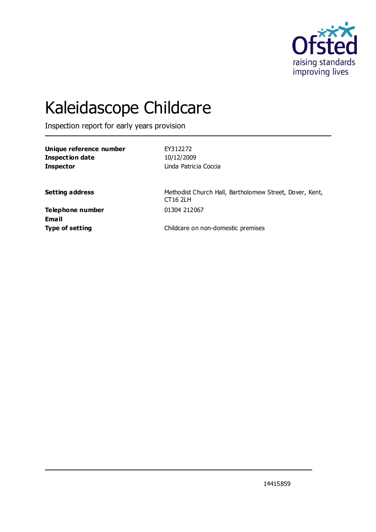

# Kaleidascope Childcare

Inspection report for early years provision

**Unique reference number** EY312272 **Inspection date** 10/12/2009 **Inspector** Linda Patricia Coccia

**Setting address** Methodist Church Hall, Bartholomew Street, Dover, Kent, CT16 2LH

**Telephone number** 01304 212067 **Email**

**Type of setting** Childcare on non-domestic premises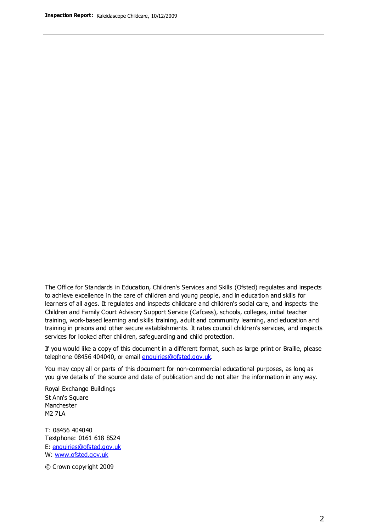The Office for Standards in Education, Children's Services and Skills (Ofsted) regulates and inspects to achieve excellence in the care of children and young people, and in education and skills for learners of all ages. It regulates and inspects childcare and children's social care, and inspects the Children and Family Court Advisory Support Service (Cafcass), schools, colleges, initial teacher training, work-based learning and skills training, adult and community learning, and education and training in prisons and other secure establishments. It rates council children's services, and inspects services for looked after children, safeguarding and child protection.

If you would like a copy of this document in a different format, such as large print or Braille, please telephone 08456 404040, or email enquiries@ofsted.gov.uk.

You may copy all or parts of this document for non-commercial educational purposes, as long as you give details of the source and date of publication and do not alter the information in any way.

Royal Exchange Buildings St Ann's Square Manchester M2 7LA

T: 08456 404040 Textphone: 0161 618 8524 E: enquiries@ofsted.gov.uk W: [www.ofsted.gov.uk](http://www.ofsted.gov.uk/)

© Crown copyright 2009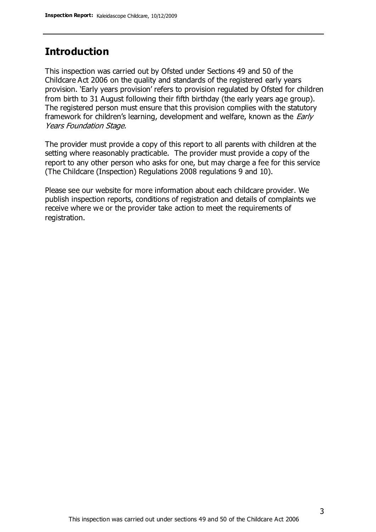## **Introduction**

This inspection was carried out by Ofsted under Sections 49 and 50 of the Childcare Act 2006 on the quality and standards of the registered early years provision. 'Early years provision' refers to provision regulated by Ofsted for children from birth to 31 August following their fifth birthday (the early years age group). The registered person must ensure that this provision complies with the statutory framework for children's learning, development and welfare, known as the *Early* Years Foundation Stage.

The provider must provide a copy of this report to all parents with children at the setting where reasonably practicable. The provider must provide a copy of the report to any other person who asks for one, but may charge a fee for this service (The Childcare (Inspection) Regulations 2008 regulations 9 and 10).

Please see our website for more information about each childcare provider. We publish inspection reports, conditions of registration and details of complaints we receive where we or the provider take action to meet the requirements of registration.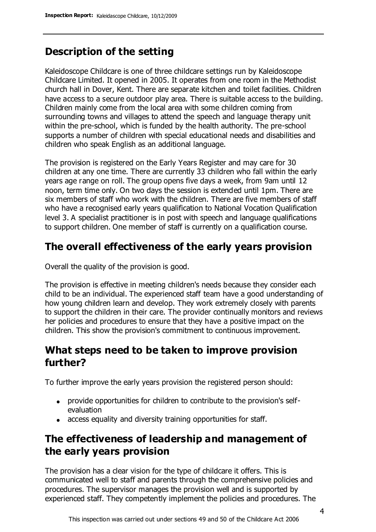# **Description of the setting**

Kaleidoscope Childcare is one of three childcare settings run by Kaleidoscope Childcare Limited. It opened in 2005. It operates from one room in the Methodist church hall in Dover, Kent. There are separate kitchen and toilet facilities. Children have access to a secure outdoor play area. There is suitable access to the building. Children mainly come from the local area with some children coming from surrounding towns and villages to attend the speech and language therapy unit within the pre-school, which is funded by the health authority. The pre-school supports a number of children with special educational needs and disabilities and children who speak English as an additional language.

The provision is registered on the Early Years Register and may care for 30 children at any one time. There are currently 33 children who fall within the early years age range on roll. The group opens five days a week, from 9am until 12 noon, term time only. On two days the session is extended until 1pm. There are six members of staff who work with the children. There are five members of staff who have a recognised early years qualification to National Vocation Qualification level 3. A specialist practitioner is in post with speech and language qualifications to support children. One member of staff is currently on a qualification course.

# **The overall effectiveness of the early years provision**

Overall the quality of the provision is good.

The provision is effective in meeting children's needs because they consider each child to be an individual. The experienced staff team have a good understanding of how young children learn and develop. They work extremely closely with parents to support the children in their care. The provider continually monitors and reviews her policies and procedures to ensure that they have a positive impact on the children. This show the provision's commitment to continuous improvement.

# **What steps need to be taken to improve provision further?**

To further improve the early years provision the registered person should:

- provide opportunities for children to contribute to the provision's selfevaluation
- access equality and diversity training opportunities for staff.

# **The effectiveness of leadership and management of the early years provision**

The provision has a clear vision for the type of childcare it offers. This is communicated well to staff and parents through the comprehensive policies and procedures. The supervisor manages the provision well and is supported by experienced staff. They competently implement the policies and procedures. The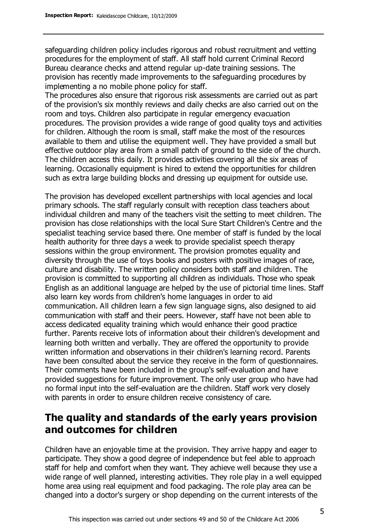safeguarding children policy includes rigorous and robust recruitment and vetting procedures for the employment of staff. All staff hold current Criminal Record Bureau clearance checks and attend regular up-date training sessions. The provision has recently made improvements to the safeguarding procedures by implementing a no mobile phone policy for staff.

The procedures also ensure that rigorous risk assessments are carried out as part of the provision's six monthly reviews and daily checks are also carried out on the room and toys. Children also participate in regular emergency evacuation procedures. The provision provides a wide range of good quality toys and activities for children. Although the room is small, staff make the most of the resources available to them and utilise the equipment well. They have provided a small but effective outdoor play area from a small patch of ground to the side of the church. The children access this daily. It provides activities covering all the six areas of learning. Occasionally equipment is hired to extend the opportunities for children such as extra large building blocks and dressing up equipment for outside use.

The provision has developed excellent partnerships with local agencies and local primary schools. The staff regularly consult with reception class teachers about individual children and many of the teachers visit the setting to meet children. The provision has close relationships with the local Sure Start Children's Centre and the specialist teaching service based there. One member of staff is funded by the local health authority for three days a week to provide specialist speech therapy sessions within the group environment. The provision promotes equality and diversity through the use of toys books and posters with positive images of race, culture and disability. The written policy considers both staff and children. The provision is committed to supporting all children as individuals. Those who speak English as an additional language are helped by the use of pictorial time lines. Staff also learn key words from children's home languages in order to aid communication. All children learn a few sign language signs, also designed to aid communication with staff and their peers. However, staff have not been able to access dedicated equality training which would enhance their good practice further. Parents receive lots of information about their children's development and learning both written and verbally. They are offered the opportunity to provide written information and observations in their children's learning record. Parents have been consulted about the service they receive in the form of questionnaires. Their comments have been included in the group's self-evaluation and have provided suggestions for future improvement. The only user group who have had no formal input into the self-evaluation are the children. Staff work very closely with parents in order to ensure children receive consistency of care.

# **The quality and standards of the early years provision and outcomes for children**

Children have an enjoyable time at the provision. They arrive happy and eager to participate. They show a good degree of independence but feel able to approach staff for help and comfort when they want. They achieve well because they use a wide range of well planned, interesting activities. They role play in a well equipped home area using real equipment and food packaging. The role play area can be changed into a doctor's surgery or shop depending on the current interests of the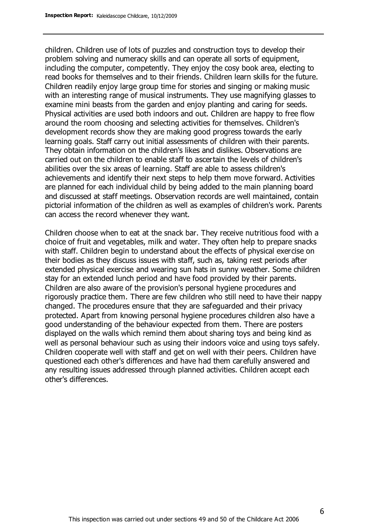children. Children use of lots of puzzles and construction toys to develop their problem solving and numeracy skills and can operate all sorts of equipment, including the computer, competently. They enjoy the cosy book area, electing to read books for themselves and to their friends. Children learn skills for the future. Children readily enjoy large group time for stories and singing or making music with an interesting range of musical instruments. They use magnifying glasses to examine mini beasts from the garden and enjoy planting and caring for seeds. Physical activities are used both indoors and out. Children are happy to free flow around the room choosing and selecting activities for themselves. Children's development records show they are making good progress towards the early learning goals. Staff carry out initial assessments of children with their parents. They obtain information on the children's likes and dislikes. Observations are carried out on the children to enable staff to ascertain the levels of children's abilities over the six areas of learning. Staff are able to assess children's achievements and identify their next steps to help them move forward. Activities are planned for each individual child by being added to the main planning board and discussed at staff meetings. Observation records are well maintained, contain pictorial information of the children as well as examples of children's work. Parents can access the record whenever they want.

Children choose when to eat at the snack bar. They receive nutritious food with a choice of fruit and vegetables, milk and water. They often help to prepare snacks with staff. Children begin to understand about the effects of physical exercise on their bodies as they discuss issues with staff, such as, taking rest periods after extended physical exercise and wearing sun hats in sunny weather. Some children stay for an extended lunch period and have food provided by their parents. Children are also aware of the provision's personal hygiene procedures and rigorously practice them. There are few children who still need to have their nappy changed. The procedures ensure that they are safeguarded and their privacy protected. Apart from knowing personal hygiene procedures children also have a good understanding of the behaviour expected from them. There are posters displayed on the walls which remind them about sharing toys and being kind as well as personal behaviour such as using their indoors voice and using toys safely. Children cooperate well with staff and get on well with their peers. Children have questioned each other's differences and have had them carefully answered and any resulting issues addressed through planned activities. Children accept each other's differences.